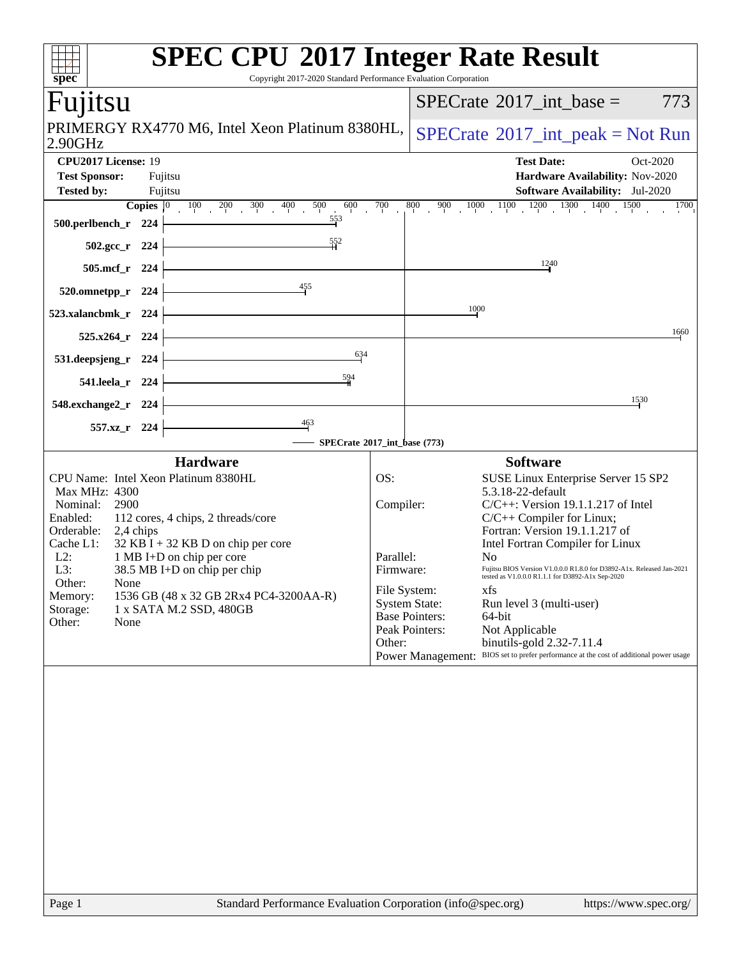|                                                                                          | <b>SPEC CPU®2017 Integer Rate Result</b>                                                                                               |
|------------------------------------------------------------------------------------------|----------------------------------------------------------------------------------------------------------------------------------------|
| spec <sup>®</sup>                                                                        | Copyright 2017-2020 Standard Performance Evaluation Corporation                                                                        |
| Fujitsu                                                                                  | $SPECrate^{\circledast}2017\_int\_base =$<br>773                                                                                       |
| PRIMERGY RX4770 M6, Intel Xeon Platinum 8380HL,<br>2.90GHz                               | $SPECrate^{\circledcirc}2017\_int\_peak = Not Run$                                                                                     |
| CPU2017 License: 19                                                                      | <b>Test Date:</b><br>Oct-2020                                                                                                          |
| <b>Test Sponsor:</b><br>Fujitsu<br><b>Tested by:</b><br>Fujitsu                          | Hardware Availability: Nov-2020<br><b>Software Availability:</b> Jul-2020                                                              |
| <b>Copies</b> $\begin{bmatrix} 0 & 100 & 200 & 300 & 400 & 500 \end{bmatrix}$<br>600     | $\frac{800}{1}$ 900 1000 1100 1200 1300 1400 1500<br>700<br>1700                                                                       |
| $\frac{553}{7}$<br>500.perlbench_r 224                                                   |                                                                                                                                        |
| $502.\text{gcc}_r$ 224                                                                   | 1240                                                                                                                                   |
| 505.mcf_r 224<br>$\frac{455}{5}$                                                         |                                                                                                                                        |
| 520.omnetpp_r 224                                                                        | 1000                                                                                                                                   |
| 523.xalancbmk_r 224                                                                      | 1660                                                                                                                                   |
| $525.x264$ <sub>r</sub> 224<br>634                                                       |                                                                                                                                        |
| 531.deepsjeng_r 224<br>594                                                               |                                                                                                                                        |
| 541.leela_r 224                                                                          | 1530                                                                                                                                   |
| 548.exchange2_r 224<br>$\frac{463}{7}$                                                   |                                                                                                                                        |
| 557.xz_r 224                                                                             | SPECrate®2017_int_base (773)                                                                                                           |
| <b>Hardware</b>                                                                          | <b>Software</b>                                                                                                                        |
| CPU Name: Intel Xeon Platinum 8380HL<br>Max MHz: 4300                                    | OS:<br>SUSE Linux Enterprise Server 15 SP2<br>5.3.18-22-default                                                                        |
| Nominal:<br>2900                                                                         | Compiler:<br>$C/C++$ : Version 19.1.1.217 of Intel                                                                                     |
| Enabled:<br>112 cores, 4 chips, 2 threads/core<br>Orderable:<br>2,4 chips                | $C/C++$ Compiler for Linux;<br>Fortran: Version 19.1.1.217 of                                                                          |
| $32$ KB I + 32 KB D on chip per core<br>Cache L1:<br>$L2$ :<br>1 MB I+D on chip per core | Intel Fortran Compiler for Linux<br>Parallel:<br>No                                                                                    |
| L3:<br>38.5 MB I+D on chip per chip                                                      | Fujitsu BIOS Version V1.0.0.0 R1.8.0 for D3892-A1x. Released Jan-2021<br>Firmware:<br>tested as V1.0.0.0 R1.1.1 for D3892-A1x Sep-2020 |
| Other:<br>None<br>1536 GB (48 x 32 GB 2Rx4 PC4-3200AA-R)<br>Memory:                      | File System:<br>xfs                                                                                                                    |
| 1 x SATA M.2 SSD, 480GB<br>Storage:<br>Other:<br>None                                    | <b>System State:</b><br>Run level 3 (multi-user)<br><b>Base Pointers:</b><br>64-bit                                                    |
|                                                                                          | Peak Pointers:<br>Not Applicable<br>Other:<br>binutils-gold 2.32-7.11.4                                                                |
|                                                                                          | BIOS set to prefer performance at the cost of additional power usage<br><b>Power Management:</b>                                       |
|                                                                                          |                                                                                                                                        |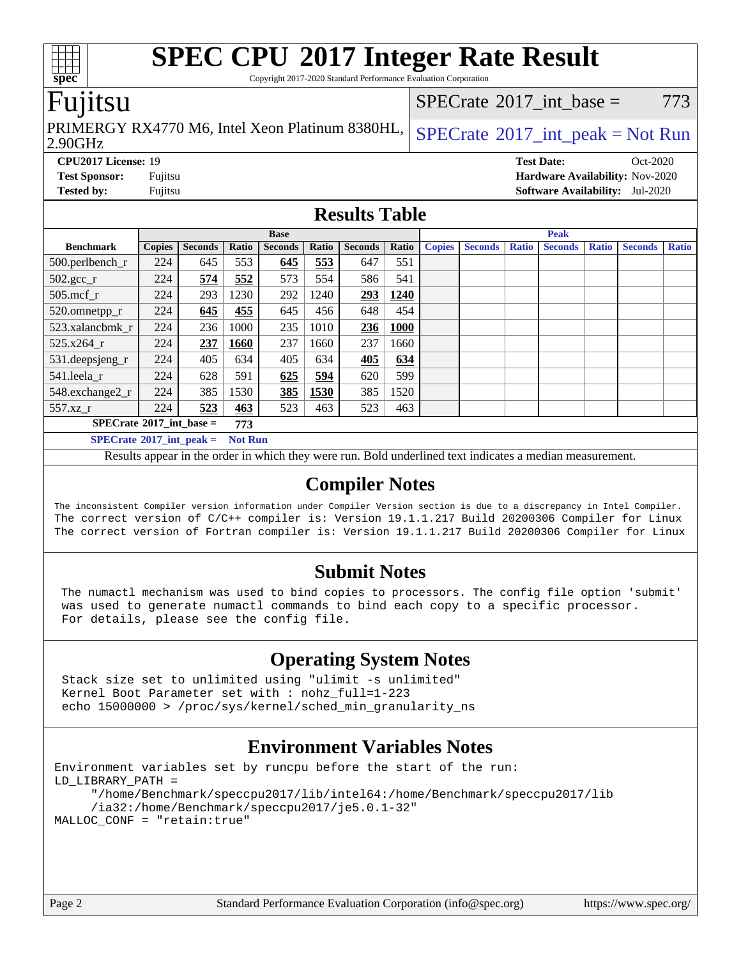Copyright 2017-2020 Standard Performance Evaluation Corporation

## Fujitsu

**[spec](http://www.spec.org/)**

2.90GHz PRIMERGY RX4770 M6, Intel Xeon Platinum 8380HL,  $SPECrate^{\circ}2017\_int\_peak = Not Run$  $SPECrate^{\circ}2017\_int\_peak = Not Run$ 

[SPECrate](http://www.spec.org/auto/cpu2017/Docs/result-fields.html#SPECrate2017intbase)<sup>®</sup>2017 int base = 773

**[CPU2017 License:](http://www.spec.org/auto/cpu2017/Docs/result-fields.html#CPU2017License)** 19 **[Test Date:](http://www.spec.org/auto/cpu2017/Docs/result-fields.html#TestDate)** Oct-2020 **[Test Sponsor:](http://www.spec.org/auto/cpu2017/Docs/result-fields.html#TestSponsor)** Fujitsu **[Hardware Availability:](http://www.spec.org/auto/cpu2017/Docs/result-fields.html#HardwareAvailability)** Nov-2020 **[Tested by:](http://www.spec.org/auto/cpu2017/Docs/result-fields.html#Testedby)** Fujitsu **[Software Availability:](http://www.spec.org/auto/cpu2017/Docs/result-fields.html#SoftwareAvailability)** Jul-2020

## **[Results Table](http://www.spec.org/auto/cpu2017/Docs/result-fields.html#ResultsTable)**

|                                                     | <b>Base</b>   |                |       |                | <b>Peak</b> |                |       |               |                |              |                |              |                |              |
|-----------------------------------------------------|---------------|----------------|-------|----------------|-------------|----------------|-------|---------------|----------------|--------------|----------------|--------------|----------------|--------------|
| <b>Benchmark</b>                                    | <b>Copies</b> | <b>Seconds</b> | Ratio | <b>Seconds</b> | Ratio       | <b>Seconds</b> | Ratio | <b>Copies</b> | <b>Seconds</b> | <b>Ratio</b> | <b>Seconds</b> | <b>Ratio</b> | <b>Seconds</b> | <b>Ratio</b> |
| 500.perlbench_r                                     | 224           | 645            | 553   | 645            | 553         | 647            | 551   |               |                |              |                |              |                |              |
| $502.\text{sec}$                                    | 224           | 574            | 552   | 573            | 554         | 586            | 541   |               |                |              |                |              |                |              |
| 505.mcf r                                           | 224           | 293            | 1230  | 292            | 1240        | 293            | 1240  |               |                |              |                |              |                |              |
| 520.omnetpp_r                                       | 224           | 645            | 455   | 645            | 456         | 648            | 454   |               |                |              |                |              |                |              |
| 523.xalancbmk r                                     | 224           | 236            | 1000  | 235            | 1010        | 236            | 1000  |               |                |              |                |              |                |              |
| 525.x264 r                                          | 224           | 237            | 1660  | 237            | 1660        | 237            | 1660  |               |                |              |                |              |                |              |
| $531.$ deepsjeng $_r$                               | 224           | 405            | 634   | 405            | 634         | 405            | 634   |               |                |              |                |              |                |              |
| 541.leela r                                         | 224           | 628            | 591   | 625            | 594         | 620            | 599   |               |                |              |                |              |                |              |
| 548.exchange2_r                                     | 224           | 385            | 1530  | 385            | 1530        | 385            | 1520  |               |                |              |                |              |                |              |
| $557.xz$ _r                                         | 224           | 523            | 463   | 523            | 463         | 523            | 463   |               |                |              |                |              |                |              |
| $SPECrate^{\circ}2017\_int\_base =$<br>773          |               |                |       |                |             |                |       |               |                |              |                |              |                |              |
| $SPECrate^{\circ}2017$ int peak =<br><b>Not Run</b> |               |                |       |                |             |                |       |               |                |              |                |              |                |              |

Results appear in the [order in which they were run](http://www.spec.org/auto/cpu2017/Docs/result-fields.html#RunOrder). Bold underlined text [indicates a median measurement](http://www.spec.org/auto/cpu2017/Docs/result-fields.html#Median).

## **[Compiler Notes](http://www.spec.org/auto/cpu2017/Docs/result-fields.html#CompilerNotes)**

The inconsistent Compiler version information under Compiler Version section is due to a discrepancy in Intel Compiler. The correct version of C/C++ compiler is: Version 19.1.1.217 Build 20200306 Compiler for Linux The correct version of Fortran compiler is: Version 19.1.1.217 Build 20200306 Compiler for Linux

## **[Submit Notes](http://www.spec.org/auto/cpu2017/Docs/result-fields.html#SubmitNotes)**

 The numactl mechanism was used to bind copies to processors. The config file option 'submit' was used to generate numactl commands to bind each copy to a specific processor. For details, please see the config file.

## **[Operating System Notes](http://www.spec.org/auto/cpu2017/Docs/result-fields.html#OperatingSystemNotes)**

 Stack size set to unlimited using "ulimit -s unlimited" Kernel Boot Parameter set with : nohz\_full=1-223 echo 15000000 > /proc/sys/kernel/sched\_min\_granularity\_ns

## **[Environment Variables Notes](http://www.spec.org/auto/cpu2017/Docs/result-fields.html#EnvironmentVariablesNotes)**

```
Environment variables set by runcpu before the start of the run:
LD_LIBRARY_PATH =
      "/home/Benchmark/speccpu2017/lib/intel64:/home/Benchmark/speccpu2017/lib
      /ia32:/home/Benchmark/speccpu2017/je5.0.1-32"
MALLOC_CONF = "retain:true"
```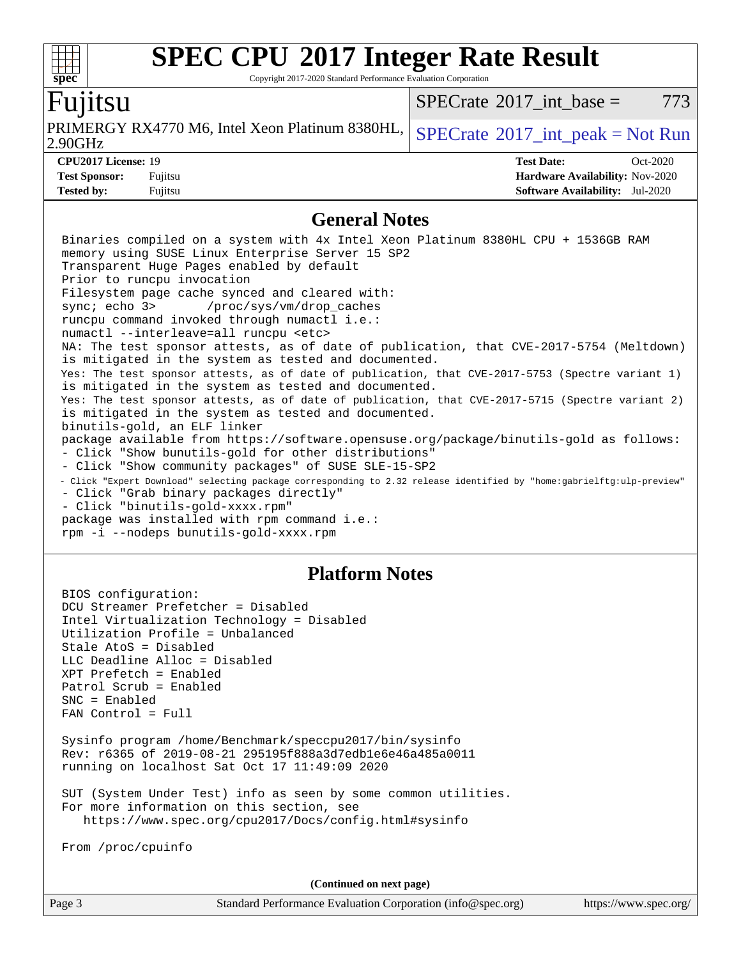Copyright 2017-2020 Standard Performance Evaluation Corporation

## Fujitsu

**[spec](http://www.spec.org/)**

2.90GHz PRIMERGY RX4770 M6, Intel Xeon Platinum 8380HL,  $SPECrate^{\circ}2017$  $SPECrate^{\circ}2017$  int peak = Not Run

rpm -i --nodeps bunutils-gold-xxxx.rpm

[SPECrate](http://www.spec.org/auto/cpu2017/Docs/result-fields.html#SPECrate2017intbase)<sup>®</sup>2017 int base =  $773$ 

**[CPU2017 License:](http://www.spec.org/auto/cpu2017/Docs/result-fields.html#CPU2017License)** 19 **[Test Date:](http://www.spec.org/auto/cpu2017/Docs/result-fields.html#TestDate)** Oct-2020 **[Test Sponsor:](http://www.spec.org/auto/cpu2017/Docs/result-fields.html#TestSponsor)** Fujitsu **[Hardware Availability:](http://www.spec.org/auto/cpu2017/Docs/result-fields.html#HardwareAvailability)** Nov-2020 **[Tested by:](http://www.spec.org/auto/cpu2017/Docs/result-fields.html#Testedby)** Fujitsu **[Software Availability:](http://www.spec.org/auto/cpu2017/Docs/result-fields.html#SoftwareAvailability)** Jul-2020

### **[General Notes](http://www.spec.org/auto/cpu2017/Docs/result-fields.html#GeneralNotes)**

 Binaries compiled on a system with 4x Intel Xeon Platinum 8380HL CPU + 1536GB RAM memory using SUSE Linux Enterprise Server 15 SP2 Transparent Huge Pages enabled by default Prior to runcpu invocation Filesystem page cache synced and cleared with: sync; echo 3> /proc/sys/vm/drop\_caches runcpu command invoked through numactl i.e.: numactl --interleave=all runcpu <etc> NA: The test sponsor attests, as of date of publication, that CVE-2017-5754 (Meltdown) is mitigated in the system as tested and documented. Yes: The test sponsor attests, as of date of publication, that CVE-2017-5753 (Spectre variant 1) is mitigated in the system as tested and documented. Yes: The test sponsor attests, as of date of publication, that CVE-2017-5715 (Spectre variant 2) is mitigated in the system as tested and documented. binutils-gold, an ELF linker package available from <https://software.opensuse.org/package/binutils-gold> as follows: - Click "Show bunutils-gold for other distributions" - Click "Show community packages" of SUSE SLE-15-SP2 - Click "Expert Download" selecting package corresponding to 2.32 release identified by "home:gabrielftg:ulp-preview" - Click "Grab binary packages directly" - Click "binutils-gold-xxxx.rpm" package was installed with rpm command i.e.:

## **[Platform Notes](http://www.spec.org/auto/cpu2017/Docs/result-fields.html#PlatformNotes)**

 BIOS configuration: DCU Streamer Prefetcher = Disabled Intel Virtualization Technology = Disabled Utilization Profile = Unbalanced Stale AtoS = Disabled LLC Deadline Alloc = Disabled XPT Prefetch = Enabled Patrol Scrub = Enabled SNC = Enabled FAN Control = Full Sysinfo program /home/Benchmark/speccpu2017/bin/sysinfo Rev: r6365 of 2019-08-21 295195f888a3d7edb1e6e46a485a0011 running on localhost Sat Oct 17 11:49:09 2020 SUT (System Under Test) info as seen by some common utilities. For more information on this section, see <https://www.spec.org/cpu2017/Docs/config.html#sysinfo> From /proc/cpuinfo

**(Continued on next page)**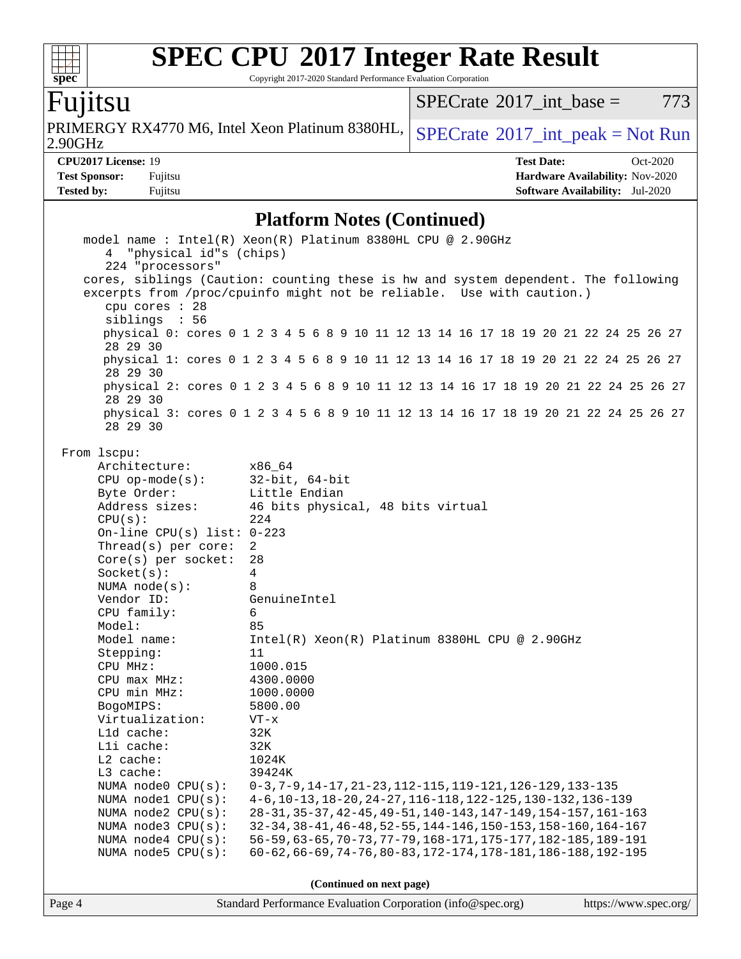Copyright 2017-2020 Standard Performance Evaluation Corporation

# Fujitsu

**[spec](http://www.spec.org/)**

 $\begin{matrix} \begin{matrix} \text{+} \text{+} \text{+} \text{+} \end{matrix} \end{matrix}$ 

2.90GHz PRIMERGY RX4770 M6, Intel Xeon Platinum 8380HL,  $SPECrate^{\circ}2017\_int\_peak = Not Run$  $SPECrate^{\circ}2017\_int\_peak = Not Run$ 

 $SPECTate@2017_int\_base = 773$ 

**[CPU2017 License:](http://www.spec.org/auto/cpu2017/Docs/result-fields.html#CPU2017License)** 19 **[Test Date:](http://www.spec.org/auto/cpu2017/Docs/result-fields.html#TestDate)** Oct-2020 **[Test Sponsor:](http://www.spec.org/auto/cpu2017/Docs/result-fields.html#TestSponsor)** Fujitsu **[Hardware Availability:](http://www.spec.org/auto/cpu2017/Docs/result-fields.html#HardwareAvailability)** Nov-2020 **[Tested by:](http://www.spec.org/auto/cpu2017/Docs/result-fields.html#Testedby)** Fujitsu **[Software Availability:](http://www.spec.org/auto/cpu2017/Docs/result-fields.html#SoftwareAvailability)** Jul-2020

### **[Platform Notes \(Continued\)](http://www.spec.org/auto/cpu2017/Docs/result-fields.html#PlatformNotes)**

| 4 "physical id"s (chips)     | model name: $Intel(R)$ Xeon(R) Platinum 8380HL CPU @ 2.90GHz                        |                       |  |  |  |
|------------------------------|-------------------------------------------------------------------------------------|-----------------------|--|--|--|
| 224 "processors"             |                                                                                     |                       |  |  |  |
|                              | cores, siblings (Caution: counting these is hw and system dependent. The following  |                       |  |  |  |
|                              | excerpts from /proc/cpuinfo might not be reliable. Use with caution.)               |                       |  |  |  |
| cpu cores : 28               |                                                                                     |                       |  |  |  |
| siblings : 56                |                                                                                     |                       |  |  |  |
|                              | physical 0: cores 0 1 2 3 4 5 6 8 9 10 11 12 13 14 16 17 18 19 20 21 22 24 25 26 27 |                       |  |  |  |
| 28 29 30                     |                                                                                     |                       |  |  |  |
| 28 29 30                     | physical 1: cores 0 1 2 3 4 5 6 8 9 10 11 12 13 14 16 17 18 19 20 21 22 24 25 26 27 |                       |  |  |  |
| 28 29 30                     | physical 2: cores 0 1 2 3 4 5 6 8 9 10 11 12 13 14 16 17 18 19 20 21 22 24 25 26 27 |                       |  |  |  |
| 28 29 30                     | physical 3: cores 0 1 2 3 4 5 6 8 9 10 11 12 13 14 16 17 18 19 20 21 22 24 25 26 27 |                       |  |  |  |
| From 1scpu:                  |                                                                                     |                       |  |  |  |
| Architecture:                | x86_64                                                                              |                       |  |  |  |
| $CPU$ op-mode( $s$ ):        | $32$ -bit, $64$ -bit                                                                |                       |  |  |  |
| Byte Order:                  | Little Endian                                                                       |                       |  |  |  |
| Address sizes:               | 46 bits physical, 48 bits virtual                                                   |                       |  |  |  |
| CPU(s):                      | 224                                                                                 |                       |  |  |  |
| On-line CPU(s) list: $0-223$ |                                                                                     |                       |  |  |  |
| Thread( $s$ ) per core:      | 2                                                                                   |                       |  |  |  |
| $Core(s)$ per socket:        | 28                                                                                  |                       |  |  |  |
| Socket(s):                   | $\overline{4}$                                                                      |                       |  |  |  |
| NUMA $node(s):$              | 8                                                                                   |                       |  |  |  |
| Vendor ID:                   | GenuineIntel                                                                        |                       |  |  |  |
| CPU family:                  | 6                                                                                   |                       |  |  |  |
| Model:                       | 85                                                                                  |                       |  |  |  |
| Model name:                  | Intel(R) Xeon(R) Platinum 8380HL CPU @ 2.90GHz                                      |                       |  |  |  |
| Stepping:                    | 11                                                                                  |                       |  |  |  |
| CPU MHz:<br>CPU max MHz:     | 1000.015<br>4300.0000                                                               |                       |  |  |  |
| CPU min MHz:                 | 1000.0000                                                                           |                       |  |  |  |
| BogoMIPS:                    | 5800.00                                                                             |                       |  |  |  |
| Virtualization:              | $VT - x$                                                                            |                       |  |  |  |
| L1d cache:                   | 32K                                                                                 |                       |  |  |  |
| Lli cache:                   | 32K                                                                                 |                       |  |  |  |
| L2 cache:                    | 1024K                                                                               |                       |  |  |  |
| $L3$ cache:                  | 39424K                                                                              |                       |  |  |  |
| NUMA $node0$ $CPU(s)$ :      | 0-3, 7-9, 14-17, 21-23, 112-115, 119-121, 126-129, 133-135                          |                       |  |  |  |
| NUMA nodel CPU(s):           | 4-6, 10-13, 18-20, 24-27, 116-118, 122-125, 130-132, 136-139                        |                       |  |  |  |
| NUMA node2 CPU(s):           | 28-31, 35-37, 42-45, 49-51, 140-143, 147-149, 154-157, 161-163                      |                       |  |  |  |
| NUMA $node3$ CPU $(s)$ :     | 32-34, 38-41, 46-48, 52-55, 144-146, 150-153, 158-160, 164-167                      |                       |  |  |  |
| NUMA $node4$ CPU $(s)$ :     | 56-59, 63-65, 70-73, 77-79, 168-171, 175-177, 182-185, 189-191                      |                       |  |  |  |
| NUMA node5 CPU(s):           | 60-62, 66-69, 74-76, 80-83, 172-174, 178-181, 186-188, 192-195                      |                       |  |  |  |
| (Continued on next page)     |                                                                                     |                       |  |  |  |
|                              |                                                                                     |                       |  |  |  |
| Page 4                       | Standard Performance Evaluation Corporation (info@spec.org)                         | https://www.spec.org/ |  |  |  |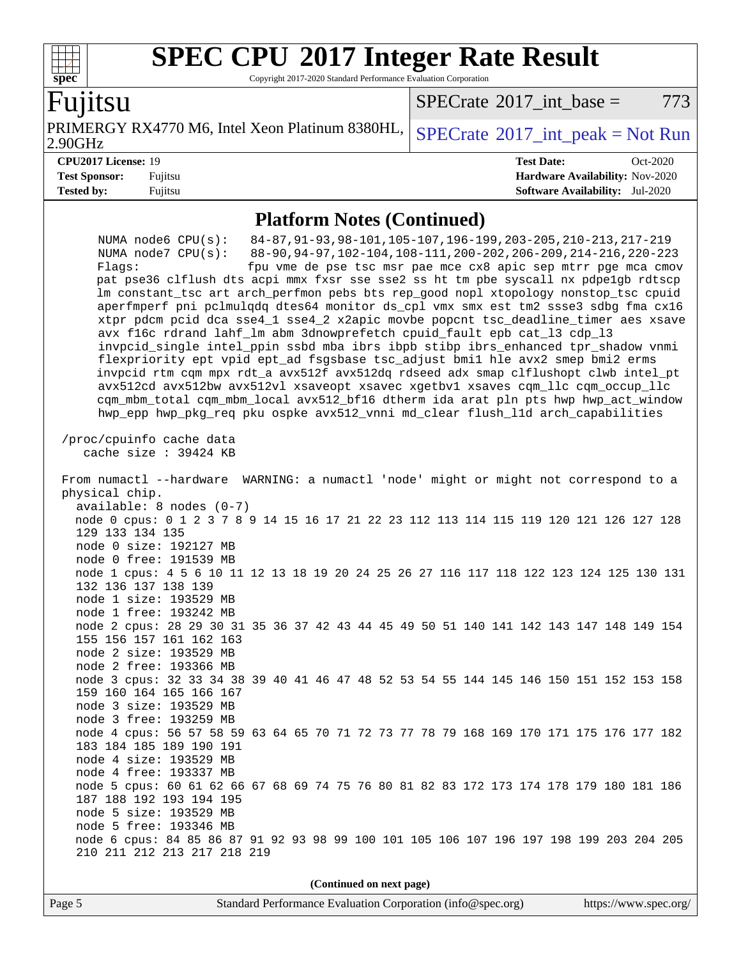Copyright 2017-2020 Standard Performance Evaluation Corporation

## `untsu

**[spec](http://www.spec.org/)**

 $+\!\!+\!\!$ 

2.90GHz PRIMERGY RX4770 M6, Intel Xeon Platinum 8380HL,  $SPECrate^{\circ}2017\_int\_peak = Not Run$  $SPECrate^{\circ}2017\_int\_peak = Not Run$ 

 $SPECTate@2017$  int base = 773

**[CPU2017 License:](http://www.spec.org/auto/cpu2017/Docs/result-fields.html#CPU2017License)** 19 **[Test Date:](http://www.spec.org/auto/cpu2017/Docs/result-fields.html#TestDate)** Oct-2020 **[Test Sponsor:](http://www.spec.org/auto/cpu2017/Docs/result-fields.html#TestSponsor)** Fujitsu **[Hardware Availability:](http://www.spec.org/auto/cpu2017/Docs/result-fields.html#HardwareAvailability)** Nov-2020 **[Tested by:](http://www.spec.org/auto/cpu2017/Docs/result-fields.html#Testedby)** Fujitsu **[Software Availability:](http://www.spec.org/auto/cpu2017/Docs/result-fields.html#SoftwareAvailability)** Jul-2020

### **[Platform Notes \(Continued\)](http://www.spec.org/auto/cpu2017/Docs/result-fields.html#PlatformNotes)**

 NUMA node6 CPU(s): 84-87,91-93,98-101,105-107,196-199,203-205,210-213,217-219 NUMA node7 CPU(s): 88-90,94-97,102-104,108-111,200-202,206-209,214-216,220-223 Flags: fpu vme de pse tsc msr pae mce cx8 apic sep mtrr pge mca cmov pat pse36 clflush dts acpi mmx fxsr sse sse2 ss ht tm pbe syscall nx pdpe1gb rdtscp lm constant\_tsc art arch\_perfmon pebs bts rep\_good nopl xtopology nonstop\_tsc cpuid aperfmperf pni pclmulqdq dtes64 monitor ds\_cpl vmx smx est tm2 ssse3 sdbg fma cx16 xtpr pdcm pcid dca sse4\_1 sse4\_2 x2apic movbe popcnt tsc\_deadline\_timer aes xsave avx f16c rdrand lahf\_lm abm 3dnowprefetch cpuid\_fault epb cat\_l3 cdp\_l3 invpcid\_single intel\_ppin ssbd mba ibrs ibpb stibp ibrs\_enhanced tpr\_shadow vnmi flexpriority ept vpid ept\_ad fsgsbase tsc\_adjust bmi1 hle avx2 smep bmi2 erms invpcid rtm cqm mpx rdt\_a avx512f avx512dq rdseed adx smap clflushopt clwb intel\_pt avx512cd avx512bw avx512vl xsaveopt xsavec xgetbv1 xsaves cqm\_llc cqm\_occup\_llc cqm\_mbm\_total cqm\_mbm\_local avx512\_bf16 dtherm ida arat pln pts hwp hwp\_act\_window hwp\_epp hwp\_pkg\_req pku ospke avx512\_vnni md\_clear flush\_l1d arch\_capabilities /proc/cpuinfo cache data cache size : 39424 KB From numactl --hardware WARNING: a numactl 'node' might or might not correspond to a physical chip. available: 8 nodes (0-7) node 0 cpus: 0 1 2 3 7 8 9 14 15 16 17 21 22 23 112 113 114 115 119 120 121 126 127 128 129 133 134 135 node 0 size: 192127 MB node 0 free: 191539 MB node 1 cpus: 4 5 6 10 11 12 13 18 19 20 24 25 26 27 116 117 118 122 123 124 125 130 131 132 136 137 138 139 node 1 size: 193529 MB node 1 free: 193242 MB node 2 cpus: 28 29 30 31 35 36 37 42 43 44 45 49 50 51 140 141 142 143 147 148 149 154 155 156 157 161 162 163 node 2 size: 193529 MB node 2 free: 193366 MB node 3 cpus: 32 33 34 38 39 40 41 46 47 48 52 53 54 55 144 145 146 150 151 152 153 158 159 160 164 165 166 167 node 3 size: 193529 MB node 3 free: 193259 MB node 4 cpus: 56 57 58 59 63 64 65 70 71 72 73 77 78 79 168 169 170 171 175 176 177 182 183 184 185 189 190 191 node 4 size: 193529 MB node 4 free: 193337 MB node 5 cpus: 60 61 62 66 67 68 69 74 75 76 80 81 82 83 172 173 174 178 179 180 181 186 187 188 192 193 194 195 node 5 size: 193529 MB node 5 free: 193346 MB node 6 cpus: 84 85 86 87 91 92 93 98 99 100 101 105 106 107 196 197 198 199 203 204 205 210 211 212 213 217 218 219

**(Continued on next page)**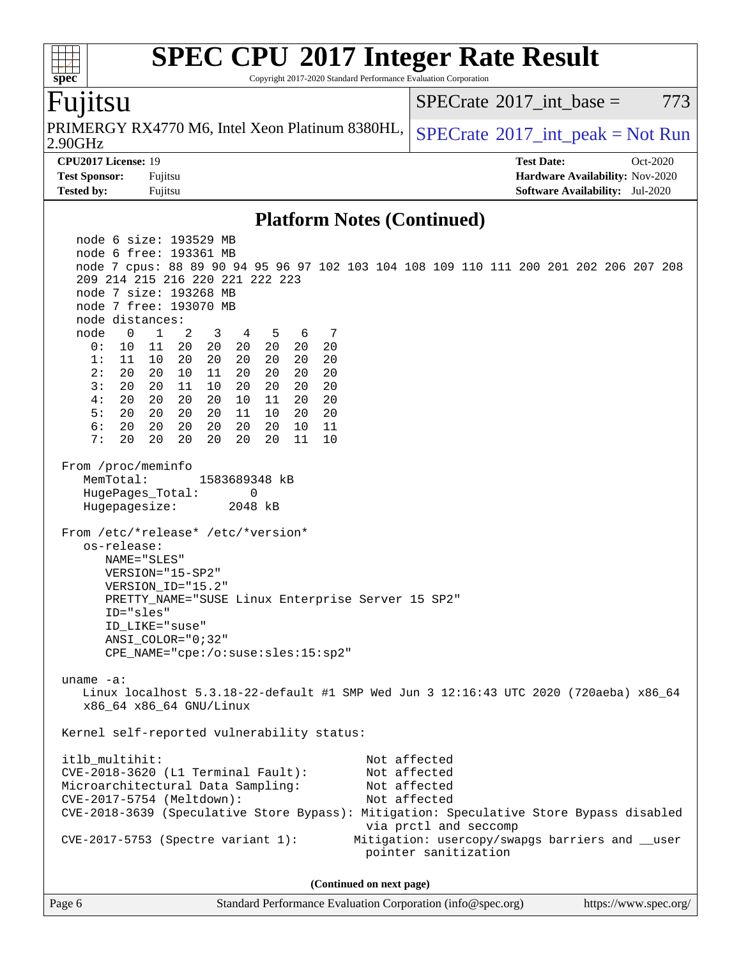Copyright 2017-2020 Standard Performance Evaluation Corporation

# Fujitsu

**[spec](http://www.spec.org/)**

 $+\ +$ 

2.90GHz PRIMERGY RX4770 M6, Intel Xeon Platinum 8380HL,  $SPECrate^{\circ}2017$  $SPECrate^{\circ}2017$  int peak = Not Run

[SPECrate](http://www.spec.org/auto/cpu2017/Docs/result-fields.html#SPECrate2017intbase)<sup>®</sup>2017 int base = 773

**[CPU2017 License:](http://www.spec.org/auto/cpu2017/Docs/result-fields.html#CPU2017License)** 19 **[Test Date:](http://www.spec.org/auto/cpu2017/Docs/result-fields.html#TestDate)** Oct-2020 **[Test Sponsor:](http://www.spec.org/auto/cpu2017/Docs/result-fields.html#TestSponsor)** Fujitsu **[Hardware Availability:](http://www.spec.org/auto/cpu2017/Docs/result-fields.html#HardwareAvailability)** Nov-2020 **[Tested by:](http://www.spec.org/auto/cpu2017/Docs/result-fields.html#Testedby)** Fujitsu **[Software Availability:](http://www.spec.org/auto/cpu2017/Docs/result-fields.html#SoftwareAvailability)** Jul-2020

### **[Platform Notes \(Continued\)](http://www.spec.org/auto/cpu2017/Docs/result-fields.html#PlatformNotes)**

 node 6 size: 193529 MB node 6 free: 193361 MB node 7 cpus: 88 89 90 94 95 96 97 102 103 104 108 109 110 111 200 201 202 206 207 208 209 214 215 216 220 221 222 223 node 7 size: 193268 MB node 7 free: 193070 MB node distances: node 0 1 2 3 4 5 6 7 0: 10 11 20 20 20 20 20 20 1: 11 10 20 20 20 20 20 20 2: 20 20 10 11 20 20 20 20 3: 20 20 11 10 20 20 20 20 4: 20 20 20 20 10 11 20 20 5: 20 20 20 20 11 10 20 20 6: 20 20 20 20 20 20 10 11 7: 20 20 20 20 20 20 11 10 From /proc/meminfo MemTotal: 1583689348 kB HugePages\_Total: 0 Hugepagesize: 2048 kB From /etc/\*release\* /etc/\*version\* os-release: NAME="SLES" VERSION="15-SP2" VERSION\_ID="15.2" PRETTY\_NAME="SUSE Linux Enterprise Server 15 SP2" ID="sles" ID\_LIKE="suse" ANSI\_COLOR="0;32" CPE\_NAME="cpe:/o:suse:sles:15:sp2" uname -a: Linux localhost 5.3.18-22-default #1 SMP Wed Jun 3 12:16:43 UTC 2020 (720aeba) x86\_64 x86\_64 x86\_64 GNU/Linux Kernel self-reported vulnerability status: itlb\_multihit: Not affected CVE-2018-3620 (L1 Terminal Fault): Not affected Microarchitectural Data Sampling: Not affected CVE-2017-5754 (Meltdown): Not affected CVE-2018-3639 (Speculative Store Bypass): Mitigation: Speculative Store Bypass disabled via prctl and seccomp CVE-2017-5753 (Spectre variant 1): Mitigation: usercopy/swapgs barriers and \_\_user pointer sanitization **(Continued on next page)**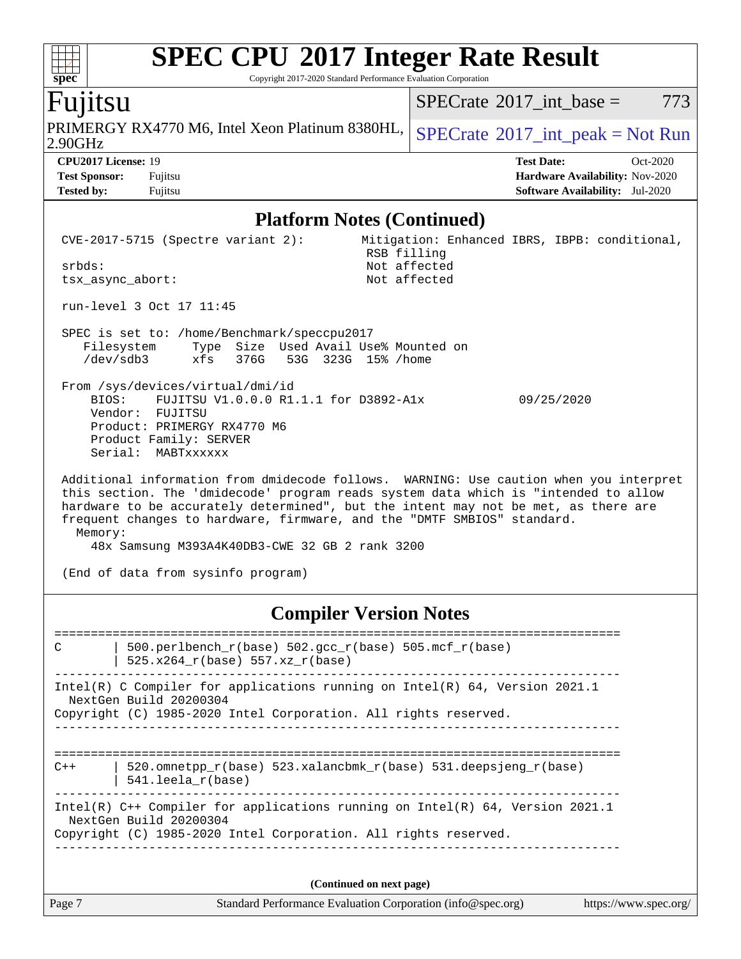Copyright 2017-2020 Standard Performance Evaluation Corporation

## Fujitsu

2.90GHz PRIMERGY RX4770 M6, Intel Xeon Platinum 8380HL,  $SPECrate^{\circ}2017\_int\_peak = Not Run$  $SPECrate^{\circ}2017\_int\_peak = Not Run$ 

[SPECrate](http://www.spec.org/auto/cpu2017/Docs/result-fields.html#SPECrate2017intbase)<sup>®</sup>2017 int base =  $773$ 

**[Tested by:](http://www.spec.org/auto/cpu2017/Docs/result-fields.html#Testedby)** Fujitsu **[Software Availability:](http://www.spec.org/auto/cpu2017/Docs/result-fields.html#SoftwareAvailability)** Jul-2020

**[CPU2017 License:](http://www.spec.org/auto/cpu2017/Docs/result-fields.html#CPU2017License)** 19 **[Test Date:](http://www.spec.org/auto/cpu2017/Docs/result-fields.html#TestDate)** Oct-2020 **[Test Sponsor:](http://www.spec.org/auto/cpu2017/Docs/result-fields.html#TestSponsor)** Fujitsu **[Hardware Availability:](http://www.spec.org/auto/cpu2017/Docs/result-fields.html#HardwareAvailability)** Nov-2020

### **[Platform Notes \(Continued\)](http://www.spec.org/auto/cpu2017/Docs/result-fields.html#PlatformNotes)**

 CVE-2017-5715 (Spectre variant 2): Mitigation: Enhanced IBRS, IBPB: conditional, RSB filling srbds: Not affected tsx\_async\_abort: run-level 3 Oct 17 11:45 SPEC is set to: /home/Benchmark/speccpu2017 Filesystem Type Size Used Avail Use% Mounted on /dev/sdb3 xfs 376G 53G 323G 15% /home From /sys/devices/virtual/dmi/id BIOS: FUJITSU V1.0.0.0 R1.1.1 for D3892-A1x 09/25/2020 Vendor: FUJITSU Product: PRIMERGY RX4770 M6 Product Family: SERVER Serial: MABTxxxxxx Additional information from dmidecode follows. WARNING: Use caution when you interpret this section. The 'dmidecode' program reads system data which is "intended to allow hardware to be accurately determined", but the intent may not be met, as there are frequent changes to hardware, firmware, and the "DMTF SMBIOS" standard. Memory:

48x Samsung M393A4K40DB3-CWE 32 GB 2 rank 3200

(End of data from sysinfo program)

## **[Compiler Version Notes](http://www.spec.org/auto/cpu2017/Docs/result-fields.html#CompilerVersionNotes)**

============================================================================== C | 500.perlbench r(base) 502.gcc r(base) 505.mcf r(base) | 525.x264\_r(base) 557.xz\_r(base) ------------------------------------------------------------------------------ Intel(R) C Compiler for applications running on Intel(R) 64, Version 2021.1 NextGen Build 20200304 Copyright (C) 1985-2020 Intel Corporation. All rights reserved. ------------------------------------------------------------------------------ ============================================================================== C++ | 520.omnetpp\_r(base) 523.xalancbmk\_r(base) 531.deepsjeng\_r(base) | 541.leela\_r(base) ------------------------------------------------------------------------------ Intel(R) C++ Compiler for applications running on Intel(R) 64, Version 2021.1 NextGen Build 20200304 Copyright (C) 1985-2020 Intel Corporation. All rights reserved. ------------------------------------------------------------------------------

**(Continued on next page)**

Page 7 Standard Performance Evaluation Corporation [\(info@spec.org\)](mailto:info@spec.org) <https://www.spec.org/>

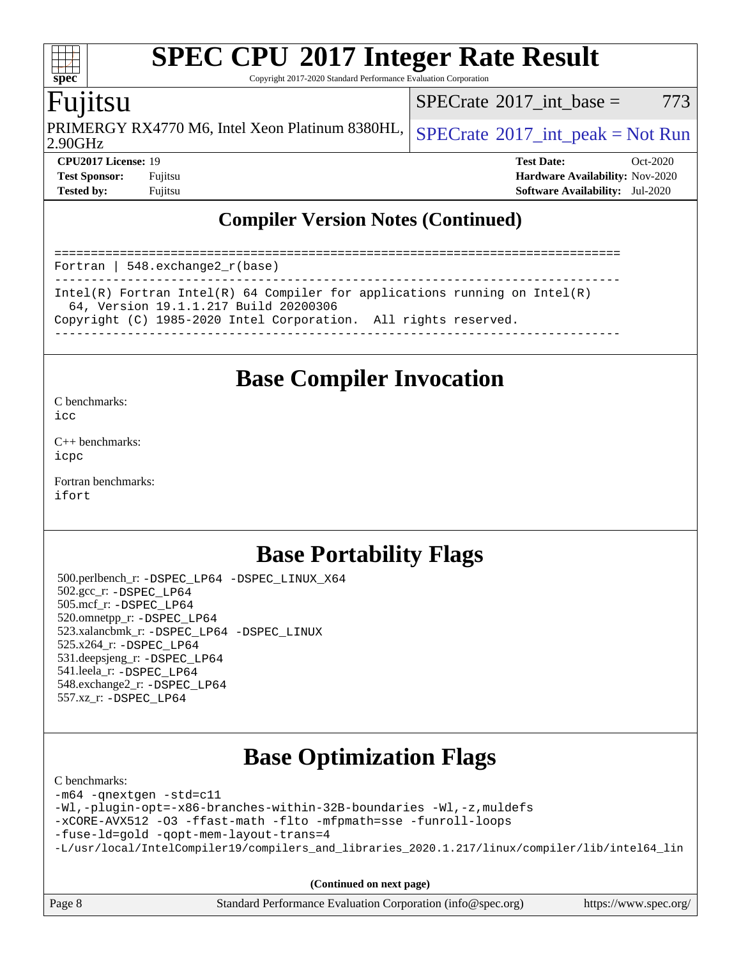Copyright 2017-2020 Standard Performance Evaluation Corporation

# Fujitsu

2.90GHz PRIMERGY RX4770 M6, Intel Xeon Platinum 8380HL,  $SPECrate^{\circ}2017\_int\_peak = Not Run$  $SPECrate^{\circ}2017\_int\_peak = Not Run$ 

[SPECrate](http://www.spec.org/auto/cpu2017/Docs/result-fields.html#SPECrate2017intbase)<sup>®</sup>2017 int base = 773

**[spec](http://www.spec.org/)**

**[CPU2017 License:](http://www.spec.org/auto/cpu2017/Docs/result-fields.html#CPU2017License)** 19 **[Test Date:](http://www.spec.org/auto/cpu2017/Docs/result-fields.html#TestDate)** Oct-2020 **[Test Sponsor:](http://www.spec.org/auto/cpu2017/Docs/result-fields.html#TestSponsor)** Fujitsu **[Hardware Availability:](http://www.spec.org/auto/cpu2017/Docs/result-fields.html#HardwareAvailability)** Nov-2020 **[Tested by:](http://www.spec.org/auto/cpu2017/Docs/result-fields.html#Testedby)** Fujitsu **[Software Availability:](http://www.spec.org/auto/cpu2017/Docs/result-fields.html#SoftwareAvailability)** Jul-2020

## **[Compiler Version Notes \(Continued\)](http://www.spec.org/auto/cpu2017/Docs/result-fields.html#CompilerVersionNotes)**

============================================================================== Fortran | 548.exchange2\_r(base) ------------------------------------------------------------------------------ Intel(R) Fortran Intel(R) 64 Compiler for applications running on Intel(R) 64, Version 19.1.1.217 Build 20200306 Copyright (C) 1985-2020 Intel Corporation. All rights reserved. ------------------------------------------------------------------------------

# **[Base Compiler Invocation](http://www.spec.org/auto/cpu2017/Docs/result-fields.html#BaseCompilerInvocation)**

[C benchmarks](http://www.spec.org/auto/cpu2017/Docs/result-fields.html#Cbenchmarks):  $i$ cc

[C++ benchmarks:](http://www.spec.org/auto/cpu2017/Docs/result-fields.html#CXXbenchmarks) [icpc](http://www.spec.org/cpu2017/results/res2020q4/cpu2017-20201013-24201.flags.html#user_CXXbase_intel_icpc_c510b6838c7f56d33e37e94d029a35b4a7bccf4766a728ee175e80a419847e808290a9b78be685c44ab727ea267ec2f070ec5dc83b407c0218cded6866a35d07)

[Fortran benchmarks](http://www.spec.org/auto/cpu2017/Docs/result-fields.html#Fortranbenchmarks): [ifort](http://www.spec.org/cpu2017/results/res2020q4/cpu2017-20201013-24201.flags.html#user_FCbase_intel_ifort_8111460550e3ca792625aed983ce982f94888b8b503583aa7ba2b8303487b4d8a21a13e7191a45c5fd58ff318f48f9492884d4413fa793fd88dd292cad7027ca)

# **[Base Portability Flags](http://www.spec.org/auto/cpu2017/Docs/result-fields.html#BasePortabilityFlags)**

 500.perlbench\_r: [-DSPEC\\_LP64](http://www.spec.org/cpu2017/results/res2020q4/cpu2017-20201013-24201.flags.html#b500.perlbench_r_basePORTABILITY_DSPEC_LP64) [-DSPEC\\_LINUX\\_X64](http://www.spec.org/cpu2017/results/res2020q4/cpu2017-20201013-24201.flags.html#b500.perlbench_r_baseCPORTABILITY_DSPEC_LINUX_X64) 502.gcc\_r: [-DSPEC\\_LP64](http://www.spec.org/cpu2017/results/res2020q4/cpu2017-20201013-24201.flags.html#suite_basePORTABILITY502_gcc_r_DSPEC_LP64) 505.mcf\_r: [-DSPEC\\_LP64](http://www.spec.org/cpu2017/results/res2020q4/cpu2017-20201013-24201.flags.html#suite_basePORTABILITY505_mcf_r_DSPEC_LP64) 520.omnetpp\_r: [-DSPEC\\_LP64](http://www.spec.org/cpu2017/results/res2020q4/cpu2017-20201013-24201.flags.html#suite_basePORTABILITY520_omnetpp_r_DSPEC_LP64) 523.xalancbmk\_r: [-DSPEC\\_LP64](http://www.spec.org/cpu2017/results/res2020q4/cpu2017-20201013-24201.flags.html#suite_basePORTABILITY523_xalancbmk_r_DSPEC_LP64) [-DSPEC\\_LINUX](http://www.spec.org/cpu2017/results/res2020q4/cpu2017-20201013-24201.flags.html#b523.xalancbmk_r_baseCXXPORTABILITY_DSPEC_LINUX) 525.x264\_r: [-DSPEC\\_LP64](http://www.spec.org/cpu2017/results/res2020q4/cpu2017-20201013-24201.flags.html#suite_basePORTABILITY525_x264_r_DSPEC_LP64) 531.deepsjeng\_r: [-DSPEC\\_LP64](http://www.spec.org/cpu2017/results/res2020q4/cpu2017-20201013-24201.flags.html#suite_basePORTABILITY531_deepsjeng_r_DSPEC_LP64) 541.leela\_r: [-DSPEC\\_LP64](http://www.spec.org/cpu2017/results/res2020q4/cpu2017-20201013-24201.flags.html#suite_basePORTABILITY541_leela_r_DSPEC_LP64) 548.exchange2\_r: [-DSPEC\\_LP64](http://www.spec.org/cpu2017/results/res2020q4/cpu2017-20201013-24201.flags.html#suite_basePORTABILITY548_exchange2_r_DSPEC_LP64) 557.xz\_r: [-DSPEC\\_LP64](http://www.spec.org/cpu2017/results/res2020q4/cpu2017-20201013-24201.flags.html#suite_basePORTABILITY557_xz_r_DSPEC_LP64)

# **[Base Optimization Flags](http://www.spec.org/auto/cpu2017/Docs/result-fields.html#BaseOptimizationFlags)**

### [C benchmarks](http://www.spec.org/auto/cpu2017/Docs/result-fields.html#Cbenchmarks):

[-m64](http://www.spec.org/cpu2017/results/res2020q4/cpu2017-20201013-24201.flags.html#user_CCbase_m64-icc) [-qnextgen](http://www.spec.org/cpu2017/results/res2020q4/cpu2017-20201013-24201.flags.html#user_CCbase_f-qnextgen) [-std=c11](http://www.spec.org/cpu2017/results/res2020q4/cpu2017-20201013-24201.flags.html#user_CCbase_std-icc-std_0e1c27790398a4642dfca32ffe6c27b5796f9c2d2676156f2e42c9c44eaad0c049b1cdb667a270c34d979996257aeb8fc440bfb01818dbc9357bd9d174cb8524) [-Wl,-plugin-opt=-x86-branches-within-32B-boundaries](http://www.spec.org/cpu2017/results/res2020q4/cpu2017-20201013-24201.flags.html#user_CCbase_f-x86-branches-within-32B-boundaries_0098b4e4317ae60947b7b728078a624952a08ac37a3c797dfb4ffeb399e0c61a9dd0f2f44ce917e9361fb9076ccb15e7824594512dd315205382d84209e912f3) [-Wl,-z,muldefs](http://www.spec.org/cpu2017/results/res2020q4/cpu2017-20201013-24201.flags.html#user_CCbase_link_force_multiple1_b4cbdb97b34bdee9ceefcfe54f4c8ea74255f0b02a4b23e853cdb0e18eb4525ac79b5a88067c842dd0ee6996c24547a27a4b99331201badda8798ef8a743f577) [-xCORE-AVX512](http://www.spec.org/cpu2017/results/res2020q4/cpu2017-20201013-24201.flags.html#user_CCbase_f-xCORE-AVX512) [-O3](http://www.spec.org/cpu2017/results/res2020q4/cpu2017-20201013-24201.flags.html#user_CCbase_f-O3) [-ffast-math](http://www.spec.org/cpu2017/results/res2020q4/cpu2017-20201013-24201.flags.html#user_CCbase_f-ffast-math) [-flto](http://www.spec.org/cpu2017/results/res2020q4/cpu2017-20201013-24201.flags.html#user_CCbase_f-flto) [-mfpmath=sse](http://www.spec.org/cpu2017/results/res2020q4/cpu2017-20201013-24201.flags.html#user_CCbase_f-mfpmath_70eb8fac26bde974f8ab713bc9086c5621c0b8d2f6c86f38af0bd7062540daf19db5f3a066d8c6684be05d84c9b6322eb3b5be6619d967835195b93d6c02afa1) [-funroll-loops](http://www.spec.org/cpu2017/results/res2020q4/cpu2017-20201013-24201.flags.html#user_CCbase_f-funroll-loops) [-fuse-ld=gold](http://www.spec.org/cpu2017/results/res2020q4/cpu2017-20201013-24201.flags.html#user_CCbase_f-fuse-ld_920b3586e2b8c6e0748b9c84fa9b744736ba725a32cab14ad8f3d4ad28eecb2f59d1144823d2e17006539a88734fe1fc08fc3035f7676166309105a78aaabc32) [-qopt-mem-layout-trans=4](http://www.spec.org/cpu2017/results/res2020q4/cpu2017-20201013-24201.flags.html#user_CCbase_f-qopt-mem-layout-trans_fa39e755916c150a61361b7846f310bcdf6f04e385ef281cadf3647acec3f0ae266d1a1d22d972a7087a248fd4e6ca390a3634700869573d231a252c784941a8) [-L/usr/local/IntelCompiler19/compilers\\_and\\_libraries\\_2020.1.217/linux/compiler/lib/intel64\\_lin](http://www.spec.org/cpu2017/results/res2020q4/cpu2017-20201013-24201.flags.html#user_CCbase_linkpath_2cb6f503891ebf8baee7515f4e7d4ec1217444d1d05903cc0091ac4158de400651d2b2313a9fa414cb8a8f0e16ab029634f5c6db340f400369c190d4db8a54a0)

**(Continued on next page)**

| Page 8 | Standard Performance Evaluation Corporation (info@spec.org) | https://www.spec.org/ |
|--------|-------------------------------------------------------------|-----------------------|
|        |                                                             |                       |